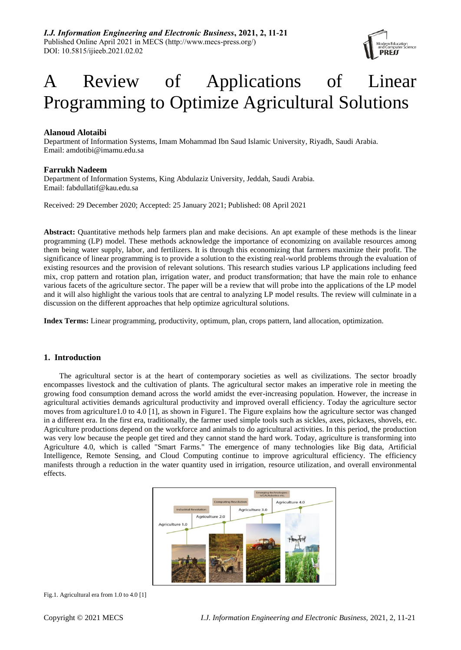

# A Review of Applications of Linear Programming to Optimize Agricultural Solutions

# **Alanoud Alotaibi**

Department of Information Systems, Imam Mohammad Ibn Saud Islamic University, Riyadh, Saudi Arabia. Email: [amdotibi@imamu.edu.sa](mailto:amdotibi@imamu.edu.sa)

# **Farrukh Nadeem**

Department of Information Systems, King Abdulaziz University, Jeddah, Saudi Arabia. Email: [fabdullatif@kau.edu.sa](mailto:fabdullatif@kau.edu.sa)

Received: 29 December 2020; Accepted: 25 January 2021; Published: 08 April 2021

**Abstract:** Quantitative methods help farmers plan and make decisions. An apt example of these methods is the linear programming (LP) model. These methods acknowledge the importance of economizing on available resources among them being water supply, labor, and fertilizers. It is through this economizing that farmers maximize their profit. The significance of linear programming is to provide a solution to the existing real-world problems through the evaluation of existing resources and the provision of relevant solutions. This research studies various LP applications including feed mix, crop pattern and rotation plan, irrigation water, and product transformation; that have the main role to enhance various facets of the agriculture sector. The paper will be a review that will probe into the applications of the LP model and it will also highlight the various tools that are central to analyzing LP model results. The review will culminate in a discussion on the different approaches that help optimize agricultural solutions.

**Index Terms:** Linear programming, productivity, optimum, plan, crops pattern, land allocation, optimization.

# **1. Introduction**

The agricultural sector is at the heart of contemporary societies as well as civilizations. The sector broadly encompasses livestock and the cultivation of plants. The agricultural sector makes an imperative role in meeting the growing food consumption demand across the world amidst the ever-increasing population. However, the increase in agricultural activities demands agricultural productivity and improved overall efficiency. Today the agriculture sector moves from agriculture1.0 to 4.0 [1], as shown in Figure1. The Figure explains how the agriculture sector was changed in a different era. In the first era, traditionally, the farmer used simple tools such as sickles, axes, pickaxes, shovels, etc. Agriculture productions depend on the workforce and animals to do agricultural activities. In this period, the production was very low because the people get tired and they cannot stand the hard work. Today, agriculture is transforming into Agriculture 4.0, which is called "Smart Farms." The emergence of many technologies like Big data, Artificial Intelligence, Remote Sensing, and Cloud Computing continue to improve agricultural efficiency. The efficiency manifests through a reduction in the water quantity used in irrigation, resource utilization, and overall environmental effects.



Fig.1. Agricultural era from 1.0 to 4.0 [1]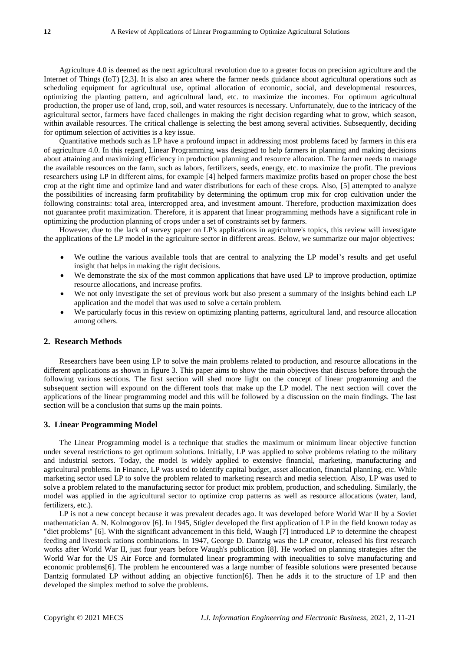Agriculture 4.0 is deemed as the next agricultural revolution due to a greater focus on precision agriculture and the Internet of Things (IoT) [2,3]. It is also an area where the farmer needs guidance about agricultural operations such as scheduling equipment for agricultural use, optimal allocation of economic, social, and developmental resources, optimizing the planting pattern, and agricultural land, etc. to maximize the incomes. For optimum agricultural production, the proper use of land, crop, soil, and water resources is necessary. Unfortunately, due to the intricacy of the agricultural sector, farmers have faced challenges in making the right decision regarding what to grow, which season, within available resources. The critical challenge is selecting the best among several activities. Subsequently, deciding for optimum selection of activities is a key issue.

Quantitative methods such as LP have a profound impact in addressing most problems faced by farmers in this era of agriculture 4.0. In this regard, Linear Programming was designed to help farmers in planning and making decisions about attaining and maximizing efficiency in production planning and resource allocation. The farmer needs to manage the available resources on the farm, such as labors, fertilizers, seeds, energy, etc. to maximize the profit. The previous researchers using LP in different aims, for example [4] helped farmers maximize profits based on proper chose the best crop at the right time and optimize land and water distributions for each of these crops. Also, [5] attempted to analyze the possibilities of increasing farm profitability by determining the optimum crop mix for crop cultivation under the following constraints: total area, intercropped area, and investment amount. Therefore, production maximization does not guarantee profit maximization. Therefore, it is apparent that linear programming methods have a significant role in optimizing the production planning of crops under a set of constraints set by farmers.

However, due to the lack of survey paper on LP's applications in agriculture's topics, this review will investigate the applications of the LP model in the agriculture sector in different areas. Below, we summarize our major objectives:

- We outline the various available tools that are central to analyzing the LP model's results and get useful insight that helps in making the right decisions.
- We demonstrate the six of the most common applications that have used LP to improve production, optimize resource allocations, and increase profits.
- We not only investigate the set of previous work but also present a summary of the insights behind each LP application and the model that was used to solve a certain problem.
- We particularly focus in this review on optimizing planting patterns, agricultural land, and resource allocation among others.

## **2. Research Methods**

Researchers have been using LP to solve the main problems related to production, and resource allocations in the different applications as shown in figure 3. This paper aims to show the main objectives that discuss before through the following various sections. The first section will shed more light on the concept of linear programming and the subsequent section will expound on the different tools that make up the LP model. The next section will cover the applications of the linear programming model and this will be followed by a discussion on the main findings. The last section will be a conclusion that sums up the main points.

#### **3. Linear Programming Model**

The Linear Programming model is a technique that studies the maximum or minimum linear objective function under several restrictions to get optimum solutions. Initially, LP was applied to solve problems relating to the military and industrial sectors. Today, the model is widely applied to extensive financial, marketing, manufacturing and agricultural problems. In Finance, LP was used to identify capital budget, asset allocation, financial planning, etc. While marketing sector used LP to solve the problem related to marketing research and media selection. Also, LP was used to solve a problem related to the manufacturing sector for product mix problem, production, and scheduling. Similarly, the model was applied in the agricultural sector to optimize crop patterns as well as resource allocations (water, land, fertilizers, etc.).

LP is not a new concept because it was prevalent decades ago. It was developed before World War II by a Soviet mathematician A. N. Kolmogorov [6]. In 1945, Stigler developed the first application of LP in the field known today as "diet problems" [6]. With the significant advancement in this field, Waugh [7] introduced LP to determine the cheapest feeding and livestock rations combinations. In 1947, George D. Dantzig was the LP creator, released his first research works after World War II, just four years before Waugh's publication [8]. He worked on planning strategies after the World War for the US Air Force and formulated linear programming with inequalities to solve manufacturing and economic problems[6]. The problem he encountered was a large number of feasible solutions were presented because Dantzig formulated LP without adding an objective function [6]. Then he adds it to the structure of LP and then developed the simplex method to solve the problems.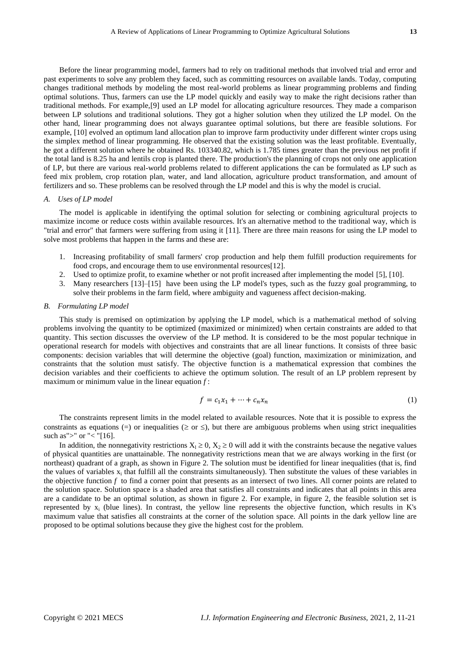Before the linear programming model, farmers had to rely on traditional methods that involved trial and error and past experiments to solve any problem they faced, such as committing resources on available lands. Today, computing changes traditional methods by modeling the most real-world problems as linear programming problems and finding optimal solutions. Thus, farmers can use the LP model quickly and easily way to make the right decisions rather than traditional methods. For example,[9] used an LP model for allocating agriculture resources. They made a comparison between LP solutions and traditional solutions. They got a higher solution when they utilized the LP model. On the other hand, linear programming does not always guarantee optimal solutions, but there are feasible solutions. For example, [10] evolved an optimum land allocation plan to improve farm productivity under different winter crops using the simplex method of linear programming. He observed that the existing solution was the least profitable. Eventually, he got a different solution where he obtained Rs. 103340.82, which is 1.785 times greater than the previous net profit if the total land is 8.25 ha and lentils crop is planted there. The production's the planning of crops not only one application of LP, but there are various real-world problems related to different applications the can be formulated as LP such as feed mix problem, crop rotation plan, water, and land allocation, agriculture product transformation, and amount of fertilizers and so. These problems can be resolved through the LP model and this is why the model is crucial.

#### *A. Uses of LP model*

The model is applicable in identifying the optimal solution for selecting or combining agricultural projects to maximize income or reduce costs within available resources. It's an alternative method to the traditional way, which is "trial and error" that farmers were suffering from using it [11]. There are three main reasons for using the LP model to solve most problems that happen in the farms and these are:

- 1. Increasing profitability of small farmers' crop production and help them fulfill production requirements for food crops, and encourage them to use environmental resources[12].
- 2. Used to optimize profit, to examine whether or not profit increased after implementing the model [5], [10].
- 3. Many researchers [13]–[15] have been using the LP model's types, such as the fuzzy goal programming, to solve their problems in the farm field, where ambiguity and vagueness affect decision-making.

#### *B. Formulating LP model*

This study is premised on optimization by applying the LP model, which is a mathematical method of solving problems involving the quantity to be optimized (maximized or minimized) when certain constraints are added to that quantity. This section discusses the overview of the LP method. It is considered to be the most popular technique in operational research for models with objectives and constraints that are all linear functions. It consists of three basic components: decision variables that will determine the objective (goal) function, maximization or minimization, and constraints that the solution must satisfy. The objective function is a mathematical expression that combines the decision variables and their coefficients to achieve the optimum solution. The result of an LP problem represent by maximum or minimum value in the linear equation  $f$ :

$$
f = c_1 x_1 + \dots + c_n x_n \tag{1}
$$

The constraints represent limits in the model related to available resources. Note that it is possible to express the constraints as equations (=) or inequalities ( $\geq$  or  $\leq$ ), but there are ambiguous problems when using strict inequalities such as">" or "< "[16].

In addition, the nonnegativity restrictions  $X_1 \ge 0$ ,  $X_2 \ge 0$  will add it with the constraints because the negative values of physical quantities are unattainable. The nonnegativity restrictions mean that we are always working in the first (or northeast) quadrant of a graph, as shown in Figure 2. The solution must be identified for linear inequalities (that is, find the values of variables  $x_i$  that fulfill all the constraints simultaneously). Then substitute the values of these variables in the objective function *f* to find a corner point that presents as an intersect of two lines. All corner points are related to the solution space. Solution space is a shaded area that satisfies all constraints and indicates that all points in this area are a candidate to be an optimal solution, as shown in figure 2. For example, in figure 2, the feasible solution set is represented by x<sub>i</sub> (blue lines). In contrast, the yellow line represents the objective function, which results in K's maximum value that satisfies all constraints at the corner of the solution space. All points in the dark yellow line are proposed to be optimal solutions because they give the highest cost for the problem.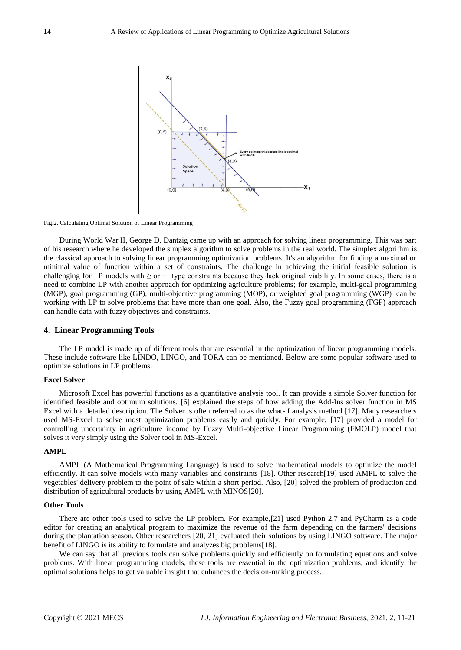

Fig.2. Calculating Optimal Solution of Linear Programming

During World War II, George D. Dantzig came up with an approach for solving linear programming. This was part of his research where he developed the simplex algorithm to solve problems in the real world. The simplex algorithm is the classical approach to solving linear programming optimization problems. It's an algorithm for finding a maximal or minimal value of function within a set of constraints. The challenge in achieving the initial feasible solution is challenging for LP models with  $\geq$  or = type constraints because they lack original viability. In some cases, there is a need to combine LP with another approach for optimizing agriculture problems; for example, multi-goal programming (MGP), goal programming (GP), multi-objective programming (MOP), or weighted goal programming (WGP) can be working with LP to solve problems that have more than one goal. Also, the Fuzzy goal programming (FGP) approach can handle data with fuzzy objectives and constraints.

## **4. Linear Programming Tools**

The LP model is made up of different tools that are essential in the optimization of linear programming models. These include software like LINDO, LINGO, and TORA can be mentioned. Below are some popular software used to optimize solutions in LP problems.

## **Excel Solver**

Microsoft Excel has powerful functions as a quantitative analysis tool. It can provide a simple Solver function for identified feasible and optimum solutions. [6] explained the steps of how adding the Add-Ins solver function in MS Excel with a detailed description. The Solver is often referred to as the what-if analysis method [17]. Many researchers used MS-Excel to solve most optimization problems easily and quickly. For example, [17] provided a model for controlling uncertainty in agriculture income by Fuzzy Multi-objective Linear Programming (FMOLP) model that solves it very simply using the Solver tool in MS-Excel.

# **AMPL**

AMPL (A Mathematical Programming Language) is used to solve mathematical models to optimize the model efficiently. It can solve models with many variables and constraints [18]. Other research[19] used AMPL to solve the vegetables' delivery problem to the point of sale within a short period. Also, [20] solved the problem of production and distribution of agricultural products by using AMPL with MINOS[20].

# **Other Tools**

There are other tools used to solve the LP problem. For example,[21] used Python 2.7 and PyCharm as a code editor for creating an analytical program to maximize the revenue of the farm depending on the farmers' decisions during the plantation season. Other researchers [20, 21] evaluated their solutions by using LINGO software. The major benefit of LINGO is its ability to formulate and analyzes big problems[18].

We can say that all previous tools can solve problems quickly and efficiently on formulating equations and solve problems. With linear programming models, these tools are essential in the optimization problems, and identify the optimal solutions helps to get valuable insight that enhances the decision-making process.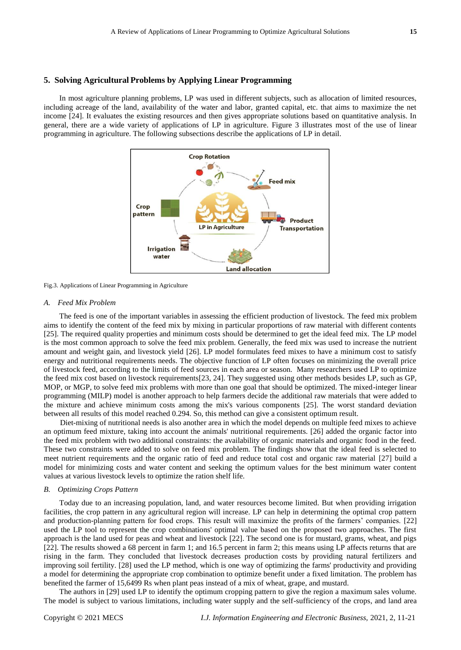## **5. Solving Agricultural Problems by Applying Linear Programming**

In most agriculture planning problems, LP was used in different subjects, such as allocation of limited resources, including acreage of the land, availability of the water and labor, granted capital, etc. that aims to maximize the net income [24]. It evaluates the existing resources and then gives appropriate solutions based on quantitative analysis. In general, there are a wide variety of applications of LP in agriculture. Figure 3 illustrates most of the use of linear programming in agriculture. The following subsections describe the applications of LP in detail.



Fig.3. Applications of Linear Programming in Agriculture

#### *A. Feed Mix Problem*

The feed is one of the important variables in assessing the efficient production of livestock. The feed mix problem aims to identify the content of the feed mix by mixing in particular proportions of raw material with different contents [25]. The required quality properties and minimum costs should be determined to get the ideal feed mix. The LP model is the most common approach to solve the feed mix problem. Generally, the feed mix was used to increase the nutrient amount and weight gain, and livestock yield [26]. LP model formulates feed mixes to have a minimum cost to satisfy energy and nutritional requirements needs. The objective function of LP often focuses on minimizing the overall price of livestock feed, according to the limits of feed sources in each area or season. Many researchers used LP to optimize the feed mix cost based on livestock requirements[23, 24]. They suggested using other methods besides LP, such as GP, MOP, or MGP, to solve feed mix problems with more than one goal that should be optimized. The mixed-integer linear programming (MILP) model is another approach to help farmers decide the additional raw materials that were added to the mixture and achieve minimum costs among the mix's various components [25]. The worst standard deviation between all results of this model reached 0.294. So, this method can give a consistent optimum result.

Diet-mixing of nutritional needs is also another area in which the model depends on multiple feed mixes to achieve an optimum feed mixture, taking into account the animals' nutritional requirements. [26] added the organic factor into the feed mix problem with two additional constraints: the availability of organic materials and organic food in the feed. These two constraints were added to solve on feed mix problem. The findings show that the ideal feed is selected to meet nutrient requirements and the organic ratio of feed and reduce total cost and organic raw material [27] build a model for minimizing costs and water content and seeking the optimum values for the best minimum water content values at various livestock levels to optimize the ration shelf life.

#### *B. Optimizing Crops Pattern*

Today due to an increasing population, land, and water resources become limited. But when providing irrigation facilities, the crop pattern in any agricultural region will increase. LP can help in determining the optimal crop pattern and production-planning pattern for food crops. This result will maximize the profits of the farmers' companies. [22] used the LP tool to represent the crop combinations' optimal value based on the proposed two approaches. The first approach is the land used for peas and wheat and livestock [22]. The second one is for mustard, grams, wheat, and pigs [22]. The results showed a 68 percent in farm 1; and 16.5 percent in farm 2; this means using LP affects returns that are rising in the farm. They concluded that livestock decreases production costs by providing natural fertilizers and improving soil fertility. [28] used the LP method, which is one way of optimizing the farms' productivity and providing a model for determining the appropriate crop combination to optimize benefit under a fixed limitation. The problem has benefited the farmer of 15,6499 Rs when plant peas instead of a mix of wheat, grape, and mustard.

The authors in [29] used LP to identify the optimum cropping pattern to give the region a maximum sales volume. The model is subject to various limitations, including water supply and the self-sufficiency of the crops, and land area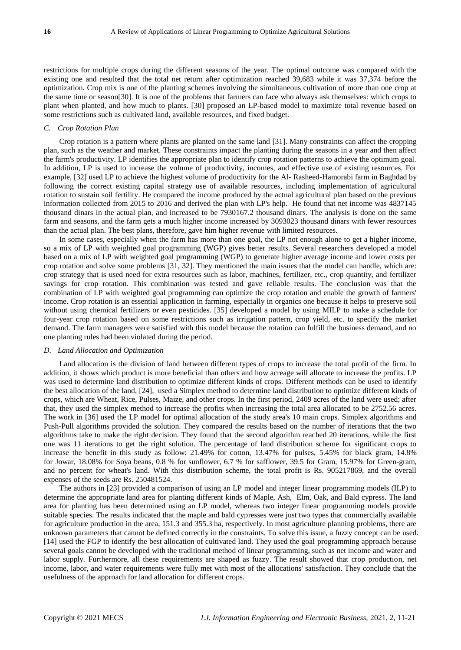restrictions for multiple crops during the different seasons of the year. The optimal outcome was compared with the existing one and resulted that the total net return after optimization reached 39,683 while it was 37,374 before the optimization. Crop mix is one of the planting schemes involving the simultaneous cultivation of more than one crop at the same time or season[30]. It is one of the problems that farmers can face who always ask themselves: which crops to plant when planted, and how much to plants. [30] proposed an LP-based model to maximize total revenue based on some restrictions such as cultivated land, available resources, and fixed budget.

#### *C. Crop Rotation Plan*

Crop rotation is a pattern where plants are planted on the same land [31]. Many constraints can affect the cropping plan, such as the weather and market. These constraints impact the planting during the seasons in a year and then affect the farm's productivity. LP identifies the appropriate plan to identify crop rotation patterns to achieve the optimum goal. In addition, LP is used to increase the volume of productivity, incomes, and effective use of existing resources. For example, [32] used LP to achieve the highest volume of productivity for the Al- Rasheed-Hamorabi farm in Baghdad by following the correct existing capital strategy use of available resources, including implementation of agricultural rotation to sustain soil fertility. He compared the income produced by the actual agricultural plan based on the previous information collected from 2015 to 2016 and derived the plan with LP's help. He found that net income was 4837145 thousand dinars in the actual plan, and increased to be 7930167.2 thousand dinars. The analysis is done on the same farm and seasons, and the farm gets a much higher income increased by 3093023 thousand dinars with fewer resources than the actual plan. The best plans, therefore, gave him higher revenue with limited resources.

In some cases, especially when the farm has more than one goal, the LP not enough alone to get a higher income, so a mix of LP with weighted goal programming (WGP) gives better results. Several researchers developed a model based on a mix of LP with weighted goal programming (WGP) to generate higher average income and lower costs per crop rotation and solve some problems [31, 32]. They mentioned the main issues that the model can handle, which are: crop strategy that is used need for extra resources such as labor, machines, fertilizer, etc., crop quantity, and fertilizer savings for crop rotation. This combination was tested and gave reliable results. The conclusion was that the combination of LP with weighted goal programming can optimize the crop rotation and enable the growth of farmers' income. Crop rotation is an essential application in farming, especially in organics one because it helps to preserve soil without using chemical fertilizers or even pesticides. [35] developed a model by using MILP to make a schedule for four-year crop rotation based on some restrictions such as irrigation pattern, crop yield, etc. to specify the market demand. The farm managers were satisfied with this model because the rotation can fulfill the business demand, and no one planting rules had been violated during the period.

## *D. Land Allocation and Optimization*

Land allocation is the division of land between different types of crops to increase the total profit of the firm. In addition, it shows which product is more beneficial than others and how acreage will allocate to increase the profits. LP was used to determine land distribution to optimize different kinds of crops. Different methods can be used to identify the best allocation of the land, [24], used a Simplex method to determine land distribution to optimize different kinds of crops, which are Wheat, Rice, Pulses, Maize, and other crops. In the first period, 2409 acres of the land were used; after that, they used the simplex method to increase the profits when increasing the total area allocated to be 2752.56 acres. The work in [36] used the LP model for optimal allocation of the study area's 10 main crops. Simplex algorithms and Push-Pull algorithms provided the solution. They compared the results based on the number of iterations that the two algorithms take to make the right decision. They found that the second algorithm reached 20 iterations, while the first one was 11 iterations to get the right solution. The percentage of land distribution scheme for significant crops to increase the benefit in this study as follow: 21.49% for cotton, 13.47% for pulses, 5.45% for black gram, 14.8% for Jowar, 18.08% for Soya beans, 0.8 % for sunflower, 6.7 % for safflower, 39.5 for Gram, 15.97% for Green-gram, and no percent for wheat's land. With this distribution scheme, the total profit is Rs. 905217869, and the overall expenses of the seeds are Rs. 250481524.

The authors in [23] provided a comparison of using an LP model and integer linear programming models (ILP) to determine the appropriate land area for planting different kinds of Maple, Ash, Elm, Oak, and Bald cypress. The land area for planting has been determined using an LP model, whereas two integer linear programming models provide suitable species. The results indicated that the maple and bald cypresses were just two types that commercially available for agriculture production in the area, 151.3 and 355.3 ha, respectively. In most agriculture planning problems, there are unknown parameters that cannot be defined correctly in the constraints. To solve this issue, a fuzzy concept can be used. [14] used the FGP to identify the best allocation of cultivated land. They used the goal programming approach because several goals cannot be developed with the traditional method of linear programming, such as net income and water and labor supply. Furthermore, all these requirements are shaped as fuzzy. The result showed that crop production, net income, labor, and water requirements were fully met with most of the allocations' satisfaction. They conclude that the usefulness of the approach for land allocation for different crops.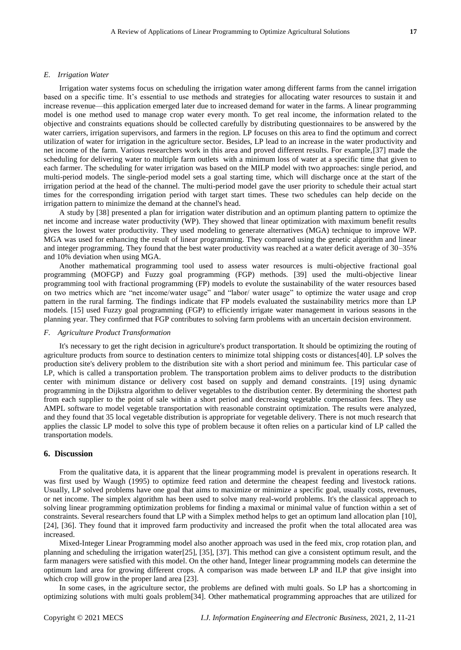#### *E. Irrigation Water*

Irrigation water systems focus on scheduling the irrigation water among different farms from the cannel irrigation based on a specific time. It's essential to use methods and strategies for allocating water resources to sustain it and increase revenue—this application emerged later due to increased demand for water in the farms. A linear programming model is one method used to manage crop water every month. To get real income, the information related to the objective and constraints equations should be collected carefully by distributing questionnaires to be answered by the water carriers, irrigation supervisors, and farmers in the region. LP focuses on this area to find the optimum and correct utilization of water for irrigation in the agriculture sector. Besides, LP lead to an increase in the water productivity and net income of the farm. Various researchers work in this area and proved different results. For example,[37] made the scheduling for delivering water to multiple farm outlets with a minimum loss of water at a specific time that given to each farmer. The scheduling for water irrigation was based on the MILP model with two approaches: single period, and multi-period models. The single-period model sets a goal starting time, which will discharge once at the start of the irrigation period at the head of the channel. The multi-period model gave the user priority to schedule their actual start times for the corresponding irrigation period with target start times. These two schedules can help decide on the irrigation pattern to minimize the demand at the channel's head.

A study by [38] presented a plan for irrigation water distribution and an optimum planting pattern to optimize the net income and increase water productivity (WP). They showed that linear optimization with maximum benefit results gives the lowest water productivity. They used modeling to generate alternatives (MGA) technique to improve WP. MGA was used for enhancing the result of linear programming. They compared using the genetic algorithm and linear and integer programming. They found that the best water productivity was reached at a water deficit average of 30–35% and 10% deviation when using MGA.

Another mathematical programming tool used to assess water resources is multi-objective fractional goal programming (MOFGP) and Fuzzy goal programming (FGP) methods. [39] used the multi-objective linear programming tool with fractional programming (FP) models to evolute the sustainability of the water resources based on two metrics which are "net income/water usage" and "labor/ water usage" to optimize the water usage and crop pattern in the rural farming. The findings indicate that FP models evaluated the sustainability metrics more than LP models. [15] used Fuzzy goal programming (FGP) to efficiently irrigate water management in various seasons in the planning year. They confirmed that FGP contributes to solving farm problems with an uncertain decision environment.

#### *F. Agriculture Product Transformation*

It's necessary to get the right decision in agriculture's product transportation. It should be optimizing the routing of agriculture products from source to destination centers to minimize total shipping costs or distances[40]. LP solves the production site's delivery problem to the distribution site with a short period and minimum fee. This particular case of LP, which is called a transportation problem. The transportation problem aims to deliver products to the distribution center with minimum distance or delivery cost based on supply and demand constraints. [19] using dynamic programming in the Dijkstra algorithm to deliver vegetables to the distribution center. By determining the shortest path from each supplier to the point of sale within a short period and decreasing vegetable compensation fees. They use AMPL software to model vegetable transportation with reasonable constraint optimization. The results were analyzed, and they found that 35 local vegetable distribution is appropriate for vegetable delivery. There is not much research that applies the classic LP model to solve this type of problem because it often relies on a particular kind of LP called the transportation models.

## **6. Discussion**

From the qualitative data, it is apparent that the linear programming model is prevalent in operations research. It was first used by Waugh (1995) to optimize feed ration and determine the cheapest feeding and livestock rations. Usually, LP solved problems have one goal that aims to maximize or minimize a specific goal, usually costs, revenues, or net income. The simplex algorithm has been used to solve many real-world problems. It's the classical approach to solving linear programming optimization problems for finding a maximal or minimal value of function within a set of constraints. Several researchers found that LP with a Simplex method helps to get an optimum land allocation plan [10], [24], [36]. They found that it improved farm productivity and increased the profit when the total allocated area was increased.

Mixed-Integer Linear Programming model also another approach was used in the feed mix, crop rotation plan, and planning and scheduling the irrigation water[25], [35], [37]. This method can give a consistent optimum result, and the farm managers were satisfied with this model. On the other hand, Integer linear programming models can determine the optimum land area for growing different crops. A comparison was made between LP and ILP that give insight into which crop will grow in the proper land area [23].

In some cases, in the agriculture sector, the problems are defined with multi goals. So LP has a shortcoming in optimizing solutions with multi goals problem[34]. Other mathematical programming approaches that are utilized for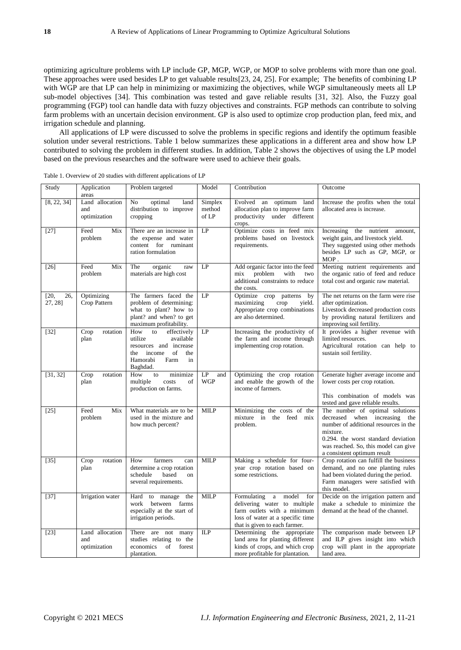optimizing agriculture problems with LP include GP, MGP, WGP, or MOP to solve problems with more than one goal. These approaches were used besides LP to get valuable results[23, 24, 25]. For example; The benefits of combining LP with WGP are that LP can help in minimizing or maximizing the objectives, while WGP simultaneously meets all LP sub-model objectives [34]. This combination was tested and gave reliable results [31, 32]. Also, the Fuzzy goal programming (FGP) tool can handle data with fuzzy objectives and constraints. FGP methods can contribute to solving farm problems with an uncertain decision environment. GP is also used to optimize crop production plan, feed mix, and irrigation schedule and planning.

All applications of LP were discussed to solve the problems in specific regions and identify the optimum feasible solution under several restrictions. Table 1 below summarizes these applications in a different area and show how LP contributed to solving the problem in different studies. In addition, Table 2 shows the objectives of using the LP model based on the previous researches and the software were used to achieve their goals.

| Study                  | Application<br>areas                   | Problem targeted                                                                                                                               | Model                      | Contribution                                                                                                                                                      | Outcome                                                                                                                                                                                                                             |
|------------------------|----------------------------------------|------------------------------------------------------------------------------------------------------------------------------------------------|----------------------------|-------------------------------------------------------------------------------------------------------------------------------------------------------------------|-------------------------------------------------------------------------------------------------------------------------------------------------------------------------------------------------------------------------------------|
| [8, 22, 34]            | Land allocation<br>and<br>optimization | optimal<br>No<br>land<br>distribution to improve<br>cropping                                                                                   | Simplex<br>method<br>of LP | Evolved an optimum land<br>allocation plan to improve farm<br>productivity under different<br>crops.                                                              | Increase the profits when the total<br>allocated area is increase.                                                                                                                                                                  |
| $[27]$                 | Feed<br>Mix<br>problem                 | There are an increase in<br>the expense and water<br>content for ruminant<br>ration formulation                                                | LP                         | Optimize costs in feed mix<br>problems based on livestock<br>requirements.                                                                                        | Increasing the nutrient amount,<br>weight gain, and livestock yield.<br>They suggested using other methods<br>besides LP such as GP, MGP, or<br>$MOP$ .                                                                             |
| $[26]$                 | Feed<br>Mix<br>problem                 | The<br>organic<br>raw<br>materials are high cost                                                                                               | LP                         | Add organic factor into the feed<br>problem<br>with<br>mix<br>two<br>additional constraints to reduce<br>the costs.                                               | Meeting nutrient requirements and<br>the organic ratio of feed and reduce<br>total cost and organic raw material.                                                                                                                   |
| [20,<br>26,<br>27, 28] | Optimizing<br>Crop Pattern             | The farmers faced the<br>problem of determining:<br>what to plant? how to<br>plant? and when? to get<br>maximum profitability.                 | LP                         | Optimize crop patterns by<br>maximizing<br>crop<br>vield.<br>Appropriate crop combinations<br>are also determined.                                                | The net returns on the farm were rise<br>after optimization.<br>Livestock decreased production costs<br>by providing natural fertilizers and<br>improving soil fertility.                                                           |
| $[32]$                 | Crop<br>rotation<br>plan               | How<br>to<br>effectively<br>utilize<br>available<br>resources and increase<br>of<br>the<br>income<br>the<br>Hamorabi<br>Farm<br>in<br>Baghdad. | LP                         | Increasing the productivity of<br>the farm and income through<br>implementing crop rotation.                                                                      | It provides a higher revenue with<br>limited resources.<br>Agricultural rotation can help to<br>sustain soil fertility.                                                                                                             |
| [31, 32]               | Crop<br>rotation<br>plan               | How<br>to<br>minimize<br>multiple<br>costs<br>of<br>production on farms.                                                                       | LP<br>and<br><b>WGP</b>    | Optimizing the crop rotation<br>and enable the growth of the<br>income of farmers.                                                                                | Generate higher average income and<br>lower costs per crop rotation.<br>This combination of models was<br>tested and gave reliable results.                                                                                         |
| $[25]$                 | Feed<br>Mix<br>problem                 | What materials are to be<br>used in the mixture and<br>how much percent?                                                                       | <b>MILP</b>                | Minimizing the costs of the<br>mixture in the feed mix<br>problem.                                                                                                | The number of optimal solutions<br>decreased when increasing the<br>number of additional resources in the<br>mixture.<br>0.294. the worst standard deviation<br>was reached. So, this model can give<br>a consistent optimum result |
| $[35]$                 | Crop<br>rotation<br>plan               | farmers<br>How<br>can<br>determine a crop rotation<br>based<br>schedule<br>on<br>several requirements.                                         | <b>MILP</b>                | Making a schedule for four-<br>year crop rotation based on<br>some restrictions.                                                                                  | Crop rotation can fulfill the business<br>demand, and no one planting rules<br>had been violated during the period.<br>Farm managers were satisfied with<br>this model.                                                             |
| $[37]$                 | Irrigation water                       | Hard to manage the<br>between<br>work<br>farms<br>especially at the start of<br>irrigation periods.                                            | <b>MILP</b>                | Formulating a<br>model<br>for<br>delivering water to multiple<br>farm outlets with a minimum<br>loss of water at a specific time<br>that is given to each farmer. | Decide on the irrigation pattern and<br>make a schedule to minimize the<br>demand at the head of the channel.                                                                                                                       |
| $[23]$                 | Land allocation<br>and<br>optimization | There are not<br>many<br>studies relating to the<br>economics<br>of<br>forest<br>plantation.                                                   | <b>ILP</b>                 | Determining the appropriate<br>land area for planting different<br>kinds of crops, and which crop<br>more profitable for plantation.                              | The comparison made between LP<br>and ILP gives insight into which<br>crop will plant in the appropriate<br>land area.                                                                                                              |

Table 1. Overview of 20 studies with different applications of LP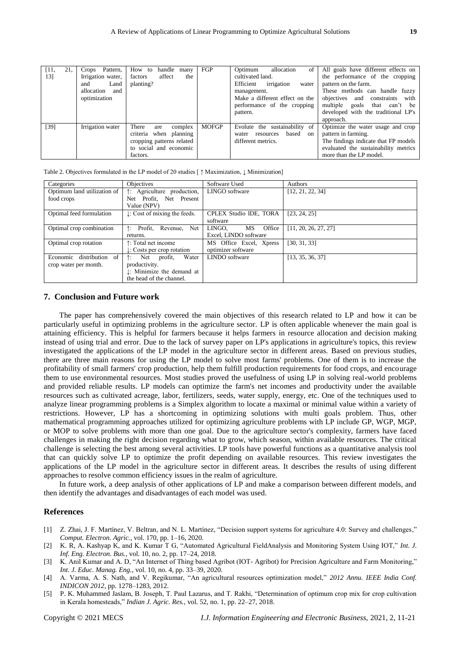| [11,   | 21, | Pattern,<br>Crops | How to<br>handle many     | FGP          | allocation<br>Optimum<br>of l     | All goals have different effects on  |
|--------|-----|-------------------|---------------------------|--------------|-----------------------------------|--------------------------------------|
| 13]    |     | Irrigation water, | affect<br>the<br>factors  |              | cultivated land.                  | the performance of the cropping      |
|        |     | Land<br>and       | planting?                 |              | irrigation<br>Efficient<br>water  | pattern on the farm.                 |
|        |     | allocation<br>and |                           |              | management.                       | These methods can handle fuzzy       |
|        |     | optimization      |                           |              | Make a different effect on the    | objectives and constraints<br>with   |
|        |     |                   |                           |              | performance of the cropping       | multiple goals that can't be         |
|        |     |                   |                           |              | pattern.                          | developed with the traditional LP's  |
|        |     |                   |                           |              |                                   | approach.                            |
| $[39]$ |     | Irrigation water  | There<br>complex<br>are   | <b>MOFGP</b> | Evolute the sustainability of     | Optimize the water usage and crop    |
|        |     |                   | criteria when planning    |              | based<br>on<br>resources<br>water | pattern in farming.                  |
|        |     |                   | cropping patterns related |              | different metrics.                | The findings indicate that FP models |
|        |     |                   | to social and economic    |              |                                   | evaluated the sustainability metrics |
|        |     |                   | factors.                  |              |                                   | more than the LP model.              |

|  | Table 2. Objectives formulated in the LP model of 20 studies [ $\uparrow$ Maximization, $\downarrow$ Minimization] |  |  |
|--|--------------------------------------------------------------------------------------------------------------------|--|--|
|  |                                                                                                                    |  |  |

| Categories                  | Objectives                               | Software Used           | Authors              |
|-----------------------------|------------------------------------------|-------------------------|----------------------|
| Optimum land utilization of | Agriculture production,<br>↑:            | LINGO software          | [12, 21, 22, 34]     |
| food crops                  | Net Profit. Net Present                  |                         |                      |
|                             | Value (NPV)                              |                         |                      |
| Optimal feed formulation    | $\downarrow$ : Cost of mixing the feeds. | CPLEX Studio IDE, TORA  | [23, 24, 25]         |
|                             |                                          | software                |                      |
| Optimal crop combination    | Profit, Revenue,<br>Net<br>↑:            | Office<br>LINGO.<br>MS  | [11, 20, 26, 27, 27] |
|                             | returns.                                 | Excel, LINDO software   |                      |
| Optimal crop rotation       | ↑: Total net income                      | MS Office Excel, Xpress | [30, 31, 33]         |
|                             | $\downarrow$ : Costs per crop rotation   | optimizer software      |                      |
| Economic<br>distribution of | Water<br>Net profit,<br>↑:               | LINDO software          | [13, 35, 36, 37]     |
| crop water per month.       | productivity.                            |                         |                      |
|                             | $\downarrow$ : Minimize the demand at    |                         |                      |
|                             | the head of the channel.                 |                         |                      |

# **7. Conclusion and Future work**

The paper has comprehensively covered the main objectives of this research related to LP and how it can be particularly useful in optimizing problems in the agriculture sector. LP is often applicable whenever the main goal is attaining efficiency. This is helpful for farmers because it helps farmers in resource allocation and decision making instead of using trial and error. Due to the lack of survey paper on LP's applications in agriculture's topics, this review investigated the applications of the LP model in the agriculture sector in different areas. Based on previous studies, there are three main reasons for using the LP model to solve most farms' problems. One of them is to increase the profitability of small farmers' crop production, help them fulfill production requirements for food crops, and encourage them to use environmental resources. Most studies proved the usefulness of using LP in solving real-world problems and provided reliable results. LP models can optimize the farm's net incomes and productivity under the available resources such as cultivated acreage, labor, fertilizers, seeds, water supply, energy, etc. One of the techniques used to analyze linear programming problems is a Simplex algorithm to locate a maximal or minimal value within a variety of restrictions. However, LP has a shortcoming in optimizing solutions with multi goals problem. Thus, other mathematical programming approaches utilized for optimizing agriculture problems with LP include GP, WGP, MGP, or MOP to solve problems with more than one goal. Due to the agriculture sector's complexity, farmers have faced challenges in making the right decision regarding what to grow, which season, within available resources. The critical challenge is selecting the best among several activities. LP tools have powerful functions as a quantitative analysis tool that can quickly solve LP to optimize the profit depending on available resources. This review investigates the applications of the LP model in the agriculture sector in different areas. It describes the results of using different approaches to resolve common efficiency issues in the realm of agriculture.

In future work, a deep analysis of other applications of LP and make a comparison between different models, and then identify the advantages and disadvantages of each model was used.

# **References**

- [1] Z. Zhai, J. F. Martínez, V. Beltran, and N. L. Martínez, "Decision support systems for agriculture 4.0: Survey and challenges," *Comput. Electron. Agric.*, vol. 170, pp. 1–16, 2020.
- [2] K. R, A. Kashyap K, and K. Kumar T G, "Automated Agricultural FieldAnalysis and Monitoring System Using IOT," *Int. J. Inf. Eng. Electron. Bus.*, vol. 10, no. 2, pp. 17–24, 2018.
- [3] K. Anil Kumar and A. D, "An Internet of Thing based Agribot (IOT- Agribot) for Precision Agriculture and Farm Monitoring," *Int. J. Educ. Manag. Eng.*, vol. 10, no. 4, pp. 33–39, 2020.
- [4] A. Varma, A. S. Nath, and V. Regikumar, "An agricultural resources optimization model," *2012 Annu. IEEE India Conf. INDICON 2012*, pp. 1278–1283, 2012.
- [5] P. K. Muhammed Jaslam, B. Joseph, T. Paul Lazarus, and T. Rakhi, "Determination of optimum crop mix for crop cultivation in Kerala homesteads," *Indian J. Agric. Res.*, vol. 52, no. 1, pp. 22–27, 2018.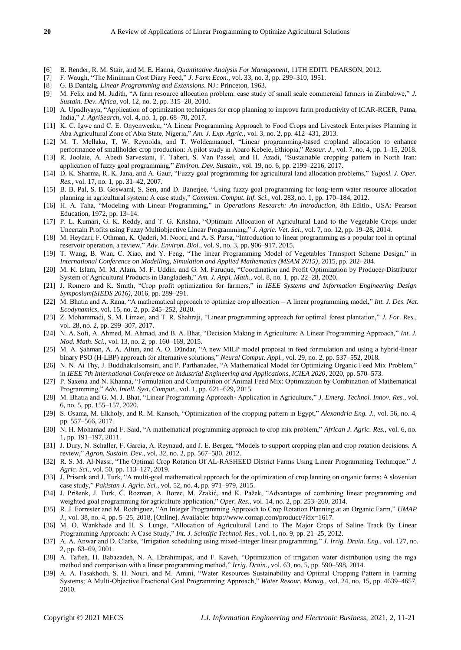- [6] B. Render, R. M. Stair, and M. E. Hanna, *Quantitative Analysis For Management*, 11TH EDITI. PEARSON, 2012.
- [7] F. Waugh, "The Minimum Cost Diary Feed," *J. Farm Econ.*, vol. 33, no. 3, pp. 299–310, 1951.
- [8] G. B.Dantzig, *Linear Programming and Extensions*. NJ.: Princeton, 1963.
- [9] M. Felix and M. Judith, "A farm resource allocation problem: case study of small scale commercial farmers in Zimbabwe," *J. Sustain. Dev. Africa*, vol. 12, no. 2, pp. 315–20, 2010.
- [10] A. Upadhyaya, "Application of optimization techniques for crop planning to improve farm productivity of ICAR-RCER, Patna, India,‖ *J. AgriSearch*, vol. 4, no. 1, pp. 68–70, 2017.
- [11] K. C. Igwe and C. E. Onyenweaku, "A Linear Programming Approach to Food Crops and Livestock Enterprises Planning in Aba Agricultural Zone of Abia State, Nigeria," *Am. J. Exp. Agric.*, vol. 3, no. 2, pp. 412–431, 2013.
- [12] M. T. Mellaku, T. W. Reynolds, and T. Woldeamanuel, "Linear programming-based cropland allocation to enhance performance of smallholder crop production: A pilot study in Abaro Kebele, Ethiopia," *Resour. J.*, vol. 7, no. 4, pp. 1–15, 2018.
- [13] R. Joolaie, A. Abedi Sarvestani, F. Taheri, S. Van Passel, and H. Azadi, "Sustainable cropping pattern in North Iran: application of fuzzy goal programming," *Environ. Dev. Sustain.*, vol. 19, no. 6, pp. 2199–2216, 2017.
- [14] D. K. Sharma, R. K. Jana, and A. Gaur, "Fuzzy goal programming for agricultural land allocation problems," *Yugosl. J. Oper. Res.*, vol. 17, no. 1, pp. 31–42, 2007.
- [15] B. B. Pal, S. B. Goswami, S. Sen, and D. Banerjee, "Using fuzzy goal programming for long-term water resource allocation planning in agricultural system: A case study," *Commun. Comput. Inf. Sci.*, vol. 283, no. 1, pp. 170–184, 2012.
- [16] H. A. Taha, "Modeling with Linear Programming," in *Operations Research: An Introduction*, 8th Editio., USA: Pearson Education, 1972, pp. 13–14.
- [17] P. L. Kumari, G. K. Reddy, and T. G. Krishna, "Optimum Allocation of Agricultural Land to the Vegetable Crops under Uncertain Profits using Fuzzy Multiobjective Linear Programming," *J. Agric. Vet. Sci.*, vol. 7, no. 12, pp. 19–28, 2014.
- [18] M. Heydari, F. Othman, K. Qaderi, M. Noori, and A. S. Parsa, "Introduction to linear programming as a popular tool in optimal reservoir operation, a review," *Adv. Environ. Biol.*, vol. 9, no. 3, pp. 906-917, 2015.
- [19] T. Wang, B. Wan, C. Xiao, and Y. Feng, "The linear Programming Model of Vegetables Transport Scheme Design," in *International Conference on Modelling, Simulation and Applied Mathematics (MSAM 2015)*, 2015, pp. 282–284.
- [20] M. K. Islam, M. M. Alam, M. F. Uddin, and G. M. Faruque, "Coordination and Profit Optimization by Producer-Distributor System of Agricultural Products in Bangladesh," *Am. J. Appl. Math.*, vol. 8, no. 1, pp. 22–28, 2020.
- [21] J. Romero and K. Smith, "Crop profit optimization for farmers," in *IEEE Systems and Information Engineering Design Symposium(SIEDS 2016)*, 2016, pp. 289–291.
- [22] M. Bhatia and A. Rana, "A mathematical approach to optimize crop allocation A linear programming model," *Int. J. Des. Nat. Ecodynamics*, vol. 15, no. 2, pp. 245–252, 2020.
- [23] Z. Mohammadi, S. M. Limaei, and T. R. Shahraji, "Linear programming approach for optimal forest plantation," *J. For. Res.*, vol. 28, no. 2, pp. 299–307, 2017.
- [24] N. A. Sofi, A. Ahmed, M. Ahmad, and B. A. Bhat, "Decision Making in Agriculture: A Linear Programming Approach," Int. J. *Mod. Math. Sci.*, vol. 13, no. 2, pp. 160–169, 2015.
- [25] M. A. Şahman, A. A. Altun, and A. O. Dündar, "A new MILP model proposal in feed formulation and using a hybrid-linear binary PSO (H-LBP) approach for alternative solutions," *Neural Comput. Appl.*, vol. 29, no. 2, pp. 537–552, 2018.
- [26] N. N. Ai Thy, J. Buddhakulsomsiri, and P. Parthanadee, "A Mathematical Model for Optimizing Organic Feed Mix Problem," in *IEEE 7th International Conference on Industrial Engineering and Applications, ICIEA 2020*, 2020, pp. 570–573.
- [27] P. Saxena and N. Khanna, "Formulation and Computation of Animal Feed Mix: Optimization by Combination of Mathematical Programming," Adv. Intell. Syst. Comput., vol. 1, pp. 621-629, 2015.
- [28] M. Bhatia and G. M. J. Bhat, "Linear Programming Approach- Application in Agriculture," J. Emerg. Technol. Innov. Res., vol. 6, no. 5, pp. 155–157, 2020.
- [29] S. Osama, M. Elkholy, and R. M. Kansoh, "Optimization of the cropping pattern in Egypt," *Alexandria Eng. J.*, vol. 56, no. 4, pp. 557–566, 2017.
- [30] N. H. Mohamad and F. Said, "A mathematical programming approach to crop mix problem," *African J. Agric. Res.*, vol. 6, no. 1, pp. 191–197, 2011.
- [31] J. Dury, N. Schaller, F. Garcia, A. Reynaud, and J. E. Bergez, "Models to support cropping plan and crop rotation decisions. A review,‖ *Agron. Sustain. Dev.*, vol. 32, no. 2, pp. 567–580, 2012.
- [32] R. S. M. Al-Nassr, "The Optimal Crop Rotation Of AL-RASHEED District Farms Using Linear Programming Technique," *J. Agric. Sci.*, vol. 50, pp. 113–127, 2019.
- [33] J. Prisenk and J. Turk, "A multi-goal mathematical approach for the optimization of crop lanning on organic farms: A slovenian case study," Pakistan J. Agric. Sci., vol. 52, no. 4, pp. 971-979, 2015.
- [34] J. Prišenk, J. Turk, Č. Rozman, A. Borec, M. Zrakić, and K. Pažek, "Advantages of combining linear programming and weighted goal programming for agriculture application," Oper. Res., vol. 14, no. 2, pp. 253-260, 2014.
- [35] R. J. Forrester and M. Rodriguez, "An Integer Programming Approach to Crop Rotation Planning at an Organic Farm," *UMAP J.*, vol. 38, no. 4, pp. 5–25, 2018, [Online]. Available: http://www.comap.com/product/?idx=1617.
- [36] M. O. Wankhade and H. S. Lunge, "Allocation of Agricultural Land to The Major Crops of Saline Track By Linear Programming Approach: A Case Study," Int. J. Scintific Technol. Res., vol. 1, no. 9, pp. 21-25, 2012.
- [37] A. A. Anwar and D. Clarke, "Irrigation scheduling using mixed-integer linear programming," *J. Irrig. Drain. Eng.*, vol. 127, no. 2, pp. 63–69, 2001.
- [38] A. Tafteh, H. Babazadeh, N. A. Ebrahimipak, and F. Kaveh, "Optimization of irrigation water distribution using the mga method and comparison with a linear programming method," *Irrig. Drain.*, vol. 63, no. 5, pp. 590–598, 2014.
- [39] A. A. Fasakhodi, S. H. Nouri, and M. Amini, "Water Resources Sustainability and Optimal Cropping Pattern in Farming Systems; A Multi-Objective Fractional Goal Programming Approach," Water Resour. Manag., vol. 24, no. 15, pp. 4639-4657, 2010.